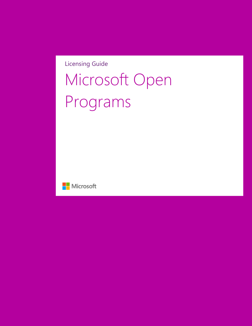Licensing Guide

# Microsoft Open Programs

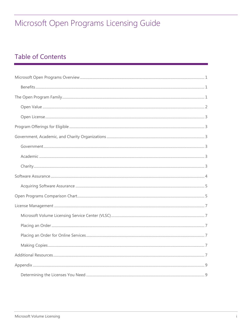### **Table of Contents**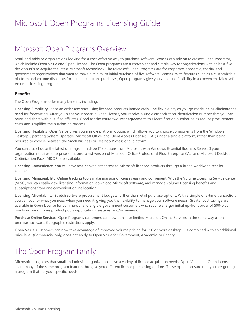### <span id="page-2-0"></span>Microsoft Open Programs Overview

Small and midsize organizations looking for a cost-effective way to purchase software licenses can rely on Microsoft Open Programs, which include Open Value and Open License. The Open programs are a convenient and simple way for organizations with at least five desktop PCs to acquire the latest Microsoft technology. The Microsoft Open Programs are for corporate, academic, charity, and government organizations that want to make a minimum initial purchase of five software licenses. With features such as a customizable platform and volume discounts for minimal up-front purchases, Open programs give you value and flexibility in a convenient Microsoft Volume Licensing program.

#### <span id="page-2-1"></span>**Benefits**

The Open Programs offer many benefits, including:

**Licensing Simplicity**. Place an order and start using licensed products immediately. The flexible pay as you go model helps eliminate the need for forecasting. After you place your order in Open License, you receive a single authorization identification number that you can reuse and share with qualified affiliates. Good for the entire two-year agreement, this identification number helps reduce procurement costs and simplifies the purchasing process.

**Licensing Flexibility**. Open Value gives you a single platform option, which allows you to choose components from the Windows Desktop Operating System Upgrade, Microsoft Office, and Client Access Licenses (CAL) under a single platform, rather than being required to choose between the Small Business or Desktop Professional platform.

You can also choose the latest offerings in midsize IT solutions from Microsoft with Windows Essential Business Server. If your organization requires enterprise solutions, latest version of Microsoft Office Professional Plus, Enterprise CAL, and Microsoft Desktop Optimization Pack (MDOP) are available.

**Licensing Convenience**. You will have fast, convenient access to Microsoft licensed products through a broad worldwide reseller channel.

**Licensing Manageability**. Online tracking tools make managing licenses easy and convenient. With the Volume Licensing Service Center (VLSC), you can easily view licensing information, download Microsoft software, and manage Volume Licensing benefits and subscriptions from one convenient online location.

**Licensing Affordability**. Stretch software procurement budgets further than retail purchase options. With a simple one-time transaction, you can pay for what you need when you need it, giving you the flexibility to manage your software needs. Greater cost savings are available in Open License for commercial and eligible government customers who require a larger initial up-front order of 500-plus points in one or more product pools (applications, systems, and/or servers).

**Purchase Online Services**. Open Programs customers can now purchase limited Microsoft Online Services in the same way as onpremises software. Geographic restrictions apply.

**Open Value.** Customers can now take advantage of improved volume pricing for 250 or more desktop PCs combined with an additional price level. (Commercial only; does not apply to Open Value for Government, Academic, or Charity.)

### <span id="page-2-2"></span>The Open Program Family

Microsoft recognizes that small and midsize organizations have a variety of license acquisition needs. Open Value and Open License share many of the same program features, but give you different license purchasing options. These options ensure that you are getting a program that fits your specific needs.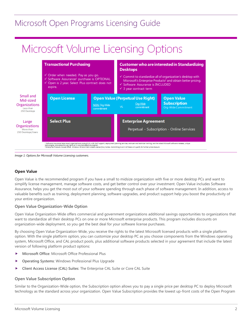## Microsoft Volume Licensing Options



*Image 1: Options for Microsoft Volume Licensing customers.*

#### <span id="page-3-0"></span>**Open Value**

Open Value is the recommended program if you have a small to midsize organization with five or more desktop PCs and want to simplify license management, manage software costs, and get better control over your investment. Open Value includes Software Assurance, helps you get the most out of your software spending through each phase of software management. In addition, access to valuable benefits such as training, deployment planning, software upgrades, and product support help you boost the productivity of your entire organization.

#### **Open Value Organization-Wide Option**

Open Value Organization-Wide offers commercial and government organizations additional savings opportunities to organizations that want to standardize all their desktop PCs on one or more Microsoft enterprise products. This program includes discounts on organization-wide deployment, so you get the best deal for your software license purchases.

By choosing Open Value Organization-Wide, you receive the rights to the latest Microsoft licensed products with a single platform option. With the single platform option, you can customize your desktop PC as you choose components from the Windows operating system, Microsoft Office, and CAL product pools, plus additional software products selected in your agreement that include the latest version of following platform product options:

- **Microsoft Office**: Microsoft Office Professional Plus
- **Operating Systems**: Windows Professional Plus Upgrade
- **Client Access License (CAL) Suites**: The Enterprise CAL Suite or Core CAL Suite

#### **Open Value Subscription Option**

Similar to the Organization-Wide option, the Subscription option allows you to pay a single price per desktop PC to deploy Microsoft technology as the standard across your organization. Open Value Subscription provides the lowest up-front costs of the Open Program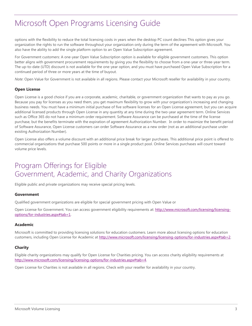options with the flexibility to reduce the total licensing costs in years when the desktop PC count declines This option gives your organization the rights to run the software throughout your organization only during the term of the agreement with Microsoft. You also have the ability to add the single platform option to an Open Value Subscription agreement.

For Government customers: A one-year Open Value Subscription option is available for eligible government customers. This option better aligns with government procurement requirements by giving you the flexibility to choose from a one-year or three-year term. The up-to-date (UTD) discount is not available for the one-year option, and you must have purchased Open Value Subscription for a continued period of three or more years at the time of buyout.

*Note*: Open Value for Government is not available in all regions. Please contact your Microsoft reseller for availability in your country.

### <span id="page-4-0"></span>**Open License**

Open License is a good choice if you are a corporate, academic, charitable, or government organization that wants to pay as you go. Because you pay for licenses as you need them, you get maximum flexibility to grow with your organization's increasing and changing business needs. You must have a minimum initial purchase of five software licenses for an Open License agreement, but you can acquire additional licensed products through Open License in any quantity at any time during the two-year agreement term. Online Services such as Office 365 do not have a minimum order requirement. Software Assurance can be purchased at the time of the license purchase, but the benefits terminate with the expiration of agreement Authorization Number. In order to maximize the benefit period of Software Assurance, Open License customers can order Software Assurance as a new order (not as an additional purchase under existing Authorization Number).

Open License also offers a volume discount with an additional price break for larger purchases. This additional price point is offered to commercial organizations that purchase 500 points or more in a single product pool. Online Services purchases will count toward volume price levels.

### <span id="page-4-2"></span><span id="page-4-1"></span>Program Offerings for Eligible Government, Academic, and Charity Organizations

Eligible public and private organizations may receive special pricing levels.

#### <span id="page-4-3"></span>**Government**

Qualified government organizations are eligible for special government pricing with Open Value or

Open License for Government. You can access government eligibility requirements at: [http://www.microsoft.com/licensing/licensing](http://www.microsoft.com/licensing/licensing-options/for-industries.aspx#tab=1)[options/for-industries.aspx#tab=1.](http://www.microsoft.com/licensing/licensing-options/for-industries.aspx#tab=1)

#### <span id="page-4-4"></span>**Academic**

Microsoft is committed to providing licensing solutions for education customers. Learn more about licensing options for education customers, including Open License for Academic at [http://www.microsoft.com/licensing/licensing-options/for-industries.aspx#tab=2.](http://www.microsoft.com/licensing/licensing-options/for-industries.aspx#tab=2)

#### <span id="page-4-5"></span>**Charity**

Eligible charity organizations may qualify for Open License for Charities pricing. You can access charity eligibility requirements at [http://www.microsoft.com/licensing/licensing-options/for-industries.aspx#tab=4.](http://www.microsoft.com/licensing/licensing-options/for-industries.aspx#tab=4)

Open License for Charities is not available in all regions. Check with your reseller for availability in your country.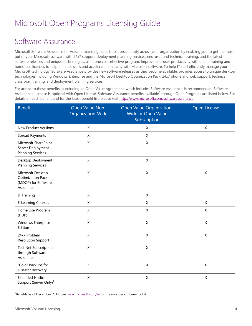### <span id="page-5-0"></span>Software Assurance

Microsoft Software Assurance for Volume Licensing helps boost productivity across your organization by enabling you to get the most out of your Microsoft software with 24x7 support, deployment planning services, end-user and technical training, and the latest software releases and unique technologies, all in one cost-effective program. Improve end-user productivity with online training and home-use licenses to help enhance skills and accelerate familiarity with Microsoft software. To help IT staff efficiently manage your Microsoft technology, Software Assurance provides new software releases as they become available, provides access to unique desktop technologies including Windows Enterprise and the Microsoft Desktop Optimization Pack, 24x7 phone and web support, technical classroom training, and deployment planning services.

For access to these benefits, purchasing an Open Value Agreement, which includes Software Assurance, is recommended. Software Assurance purchase is optional with Open License. Software Assurance benefits available<sup>1</sup> through Open Programs are listed below. For details on each benefit and for the latest benefit list, please visit [http://www.microsoft.com/softwareassurance.](http://www.microsoft.com/softwareassurance)

| <b>Benefit</b>                                                                    | Open Value Non-<br>Organization-Wide | Open Value Organization-<br>Wide or Open Value<br>Subscription | Open License |
|-----------------------------------------------------------------------------------|--------------------------------------|----------------------------------------------------------------|--------------|
| <b>New Product Versions</b>                                                       | X                                    | X                                                              | X            |
| <b>Spread Payments</b>                                                            | X                                    | X                                                              |              |
| Microsoft SharePoint<br>Server Deployment<br><b>Planning Services</b>             | X                                    | X                                                              |              |
| Desktop Deployment<br><b>Planning Services</b>                                    | X                                    | X                                                              |              |
| Microsoft Desktop<br><b>Optimization Pack</b><br>(MDOP) for Software<br>Assurance | $\mathsf X$                          | $\sf X$                                                        | X            |
| IT Training                                                                       | $\mathsf X$                          | $\mathsf X$                                                    |              |
| <b>E-Learning Courses</b>                                                         | $\mathsf X$                          | $\mathsf{X}$                                                   | $\mathsf X$  |
| Home Use Program<br>(HUP)                                                         | X                                    | X                                                              | X            |
| Windows Enterprise<br>Edition                                                     | $\boldsymbol{\mathsf{X}}$            | $\mathsf{X}$                                                   | $\mathsf{X}$ |
| 24x7 Problem<br><b>Resolution Support</b>                                         | $\pmb{\times}$                       | $\sf X$                                                        | $\mathsf X$  |
| <b>TechNet Subscription</b><br>through Software<br>Assurance                      | $\pmb{\times}$                       | $\mathsf X$                                                    |              |
| "Cold" Backups for<br>Disaster Recovery                                           | X                                    | $\mathsf X$                                                    | X            |
| <b>Extended Hotfix</b><br>Support (Server Only) <sup>1</sup>                      | $\mathsf X$                          | X                                                              | X            |

<sup>1</sup>Benefits as of December 2012. Se[e www.microsoft.com/sa](http://www.microsoft.com/sa) for the most recent benefits list.

l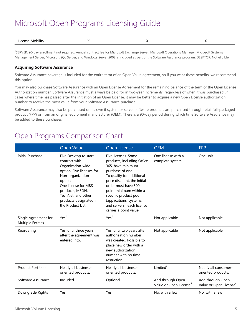| . Mobilit.<br>1700<br>,,<br>. |  |  |  |  |
|-------------------------------|--|--|--|--|
|-------------------------------|--|--|--|--|

<sup>1</sup>SERVER: 90-day enrollment not required. Annual contract fee for Microsoft Exchange Server, Microsoft Operations Manager, Microsoft Systems Management Server, Microsoft SQL Server, and Windows Server 2008 is included as part of the Software Assurance program. DESKTOP: Not eligible.

#### <span id="page-6-0"></span>**Acquiring Software Assurance**

Software Assurance coverage is included for the entire term of an Open Value agreement, so if you want these benefits, we recommend this option.

You may also purchase Software Assurance with an Open License Agreement for the remaining balance of the term of the Open License Authorization number. Software Assurance must always be paid for in two-year increments, regardless of when it was purchased. In cases where time has passed after the initiation of an Open License, it may be better to acquire a new Open License authorization number to receive the most value from your Software Assurance purchase.

Software Assurance may also be purchased on its own if system or server software products are purchased through retail full-packaged product (FPP) or from an original equipment manufacturer (OEM). There is a 90-day period during which time Software Assurance may be added to these purchases

### <span id="page-6-1"></span>Open Programs Comparison Chart

|                                                  | Open Value                                                                                                                                                                                                                             | Open License                                                                                                                                                                                                                                                                                                         | <b>OEM</b>                                             | <b>FPP</b>                                             |
|--------------------------------------------------|----------------------------------------------------------------------------------------------------------------------------------------------------------------------------------------------------------------------------------------|----------------------------------------------------------------------------------------------------------------------------------------------------------------------------------------------------------------------------------------------------------------------------------------------------------------------|--------------------------------------------------------|--------------------------------------------------------|
| <b>Initial Purchase</b>                          | Five Desktop to start<br>contract with<br>Organization-wide<br>option. Five licenses for<br>Non-organization<br>option.<br>One license for MBS<br>products, MSDN,<br>TechNet, and other<br>products designated in<br>the Product List. | Five licenses. Some<br>products, including Office<br>365, have minimum<br>purchase of one.<br>To qualify for additional<br>price discount, the initial<br>order must have 500-<br>point minimum within a<br>specific product pool<br>(applications, systems,<br>and servers); each license<br>carries a point value. | One license with a<br>complete system.                 | One unit.                                              |
| Single Agreement for<br><b>Multiple Entities</b> | Yes <sup>1</sup>                                                                                                                                                                                                                       | Yes <sup>1</sup>                                                                                                                                                                                                                                                                                                     | Not applicable                                         | Not applicable                                         |
| Reordering                                       | Yes, until three years<br>after the agreement was<br>entered into.                                                                                                                                                                     | Yes, until two years after<br>authorization number<br>was created. Possible to<br>place new order with a<br>new authorization<br>number with no time<br>restriction.                                                                                                                                                 | Not applicable                                         | Not applicable                                         |
| Product Portfolio                                | Nearly all business-<br>oriented products.                                                                                                                                                                                             | Nearly all business-<br>oriented products.                                                                                                                                                                                                                                                                           | Limited $2$                                            | Nearly all consumer-<br>oriented products.             |
| Software Assurance                               | Included                                                                                                                                                                                                                               | Optional                                                                                                                                                                                                                                                                                                             | Add through Open<br>Value or Open License <sup>3</sup> | Add through Open<br>Value or Open License <sup>4</sup> |
| Downgrade Rights                                 | Yes                                                                                                                                                                                                                                    | Yes                                                                                                                                                                                                                                                                                                                  | No, with a few                                         | No, with a few                                         |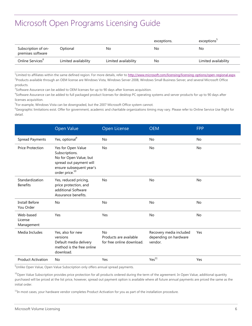|                                          |                      |                      | exceptions. | exceptions           |
|------------------------------------------|----------------------|----------------------|-------------|----------------------|
| Subscription of on-<br>premises software | Optional             | No.                  | No          | No                   |
| Online Services <sup>b</sup>             | Limited availability | Limited availability | No          | Limited availability |

<sup>1</sup> Limited to affiliates within the same defined region. For more details, refer to http://www.microsoft.com/licensing/licensing-options/open-regional.aspx. <sup>2</sup>Products available through an OEM license are Windows Vista, Windows Server 2008, Windows Small Business Server, and several Microsoft Office products.

 $3$ Software Assurance can be added to OEM licenses for up to 90 days after licenses acquisition.

4 Software Assurance can be added to full packaged product licenses for desktop PC operating systems and server products for up to 90 days after licenses acquisition.

<sup>5</sup>For example, Windows Vista can be downgraded, but the 2007 Microsoft Office system cannot.

<sup>6</sup>Geographic limitations exist. Offer for government, academic and charitable organizations timing may vary. Please refer to Online Service Use Right for detail.

|                                    | <b>Open Value</b>                                                                                                                                   | Open License                                                     | <b>OEM</b>                                                  | <b>FPP</b> |
|------------------------------------|-----------------------------------------------------------------------------------------------------------------------------------------------------|------------------------------------------------------------------|-------------------------------------------------------------|------------|
| <b>Spread Payments</b>             | Yes, optional <sup>9</sup>                                                                                                                          | <b>No</b>                                                        | No                                                          | No         |
| <b>Price Protection</b>            | Yes for Open Value<br>Subscriptions.<br>No for Open Value, but<br>spread out payment will<br>ensure subsequent year's<br>order price. <sup>10</sup> | <b>No</b>                                                        | No.                                                         | <b>No</b>  |
| Standardization<br><b>Benefits</b> | Yes, reduced pricing,<br>price protection, and<br>additional Software<br>Assurance benefits.                                                        | No                                                               | No                                                          | No         |
| <b>Install Before</b><br>You Order | No                                                                                                                                                  | No                                                               | No                                                          | No         |
| Web-based<br>License<br>Management | Yes                                                                                                                                                 | Yes                                                              | No                                                          | No         |
| Media Includes                     | Yes, also for new<br>versions<br>Default media delivery<br>method is the free online<br>download.                                                   | <b>No</b><br>Products are available<br>for free online download. | Recovery media included<br>depending on hardware<br>vendor. | Yes        |
| <b>Product Activation</b>          | No                                                                                                                                                  | Yes                                                              | Yes <sup>11</sup>                                           | Yes        |

 $\overline{9}$ Unlike Open Value, Open Value Subscription only offers annual spread payments.

<sup>10</sup>Open Value Subscription provides price protection for all products ordered during the term of the agreement. In Open Value, additional quantity purchased will be priced at the list price, however, spread out payment option is available where all future annual payments are priced the same as the initial order.

<sup>11</sup>In most cases, your hardware vendor completes Product Activation for you as part of the installation procedure.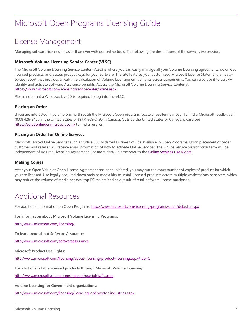### <span id="page-8-0"></span>License Management

Managing software licenses is easier than ever with our online tools. The following are descriptions of the services we provide.

#### <span id="page-8-1"></span>**Microsoft Volume Licensing Service Center (VLSC)**

The Microsoft Volume Licensing Service Center (VLSC) is where you can easily manage all your Volume Licensing agreements, download licensed products, and access product keys for your software. The site features your customized Microsoft License Statement, an easyto-use report that provides a real-time calculation of Volume Licensing entitlements across agreements. You can also use it to quickly identify and activate Software Assurance benefits. Access the Microsoft Volume Licensing Service Center at [https://www.microsoft.com/licensing/servicecenter/home.aspx.](https://www.microsoft.com/licensing/servicecenter/home.aspx)

Please note that a Windows Live ID is required to log into the VLSC.

#### <span id="page-8-2"></span>**Placing an Order**

If you are interested in volume pricing through the Microsoft Open program, locate a reseller near you. To find a Microsoft reseller, call (800) 426-9400 in the United States or (877) 568-2495 in Canada. Outside the United States or Canada, please see <https://solutionfinder.microsoft.com/> to find a reseller.

#### <span id="page-8-3"></span>**Placing an Order for Online Services**

Microsoft Hosted Online Services such as Office 365 Midsized Business will be available in Open Programs. Upon placement of order, customer and reseller will receive email information of how to activate Online Services. The Online Service Subscription term will be independent of Volume Licensing Agreement. For more detail, please refer to the [Online Services Use Rights.](http://www.microsoft.com/en-us/download/details.aspx?id=17846)

#### <span id="page-8-4"></span>**Making Copies**

After your Open Value or Open License Agreement has been initiated, you may run the exact number of copies of product for which you are licensed. Use legally acquired downloads or media kits to install licensed products across multiple workstations or servers, which may reduce the volume of media per desktop PC maintained as a result of retail software license purchases.

### <span id="page-8-5"></span>Additional Resources

For additional information on Open Programs:<http://www.microsoft.com/licensing/programs/open/default.mspx>

**For information about Microsoft Volume Licensing Programs:** 

<http://www.microsoft.com/licensing/>

**To learn more about Software Assurance:** 

<http://www.microsoft.com/softwareassurance>

**Microsoft Product Use Rights:**

<http://www.microsoft.com/licensing/about-licensing/product-licensing.aspx#tab=1>

**For a list of available licensed products through Microsoft Volume Licensing:**

<http://www.microsoftvolumelicensing.com/userights/PL.aspx>

**Volume Licensing for Government organizations:** 

<http://www.microsoft.com/licensing/licensing-options/for-industries.aspx>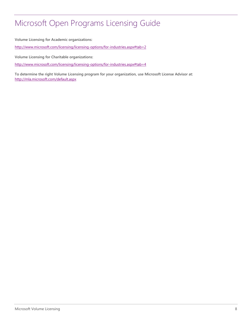**Volume Licensing for Academic organizations:** 

<http://www.microsoft.com/licensing/licensing-options/for-industries.aspx#tab=2>

**Volume Licensing for Charitable organizations:**

<http://www.microsoft.com/licensing/licensing-options/for-industries.aspx#tab=4>

**To determine the right Volume Licensing program for your organization, use Microsoft License Advisor at:** <http://mla.microsoft.com/default.aspx>